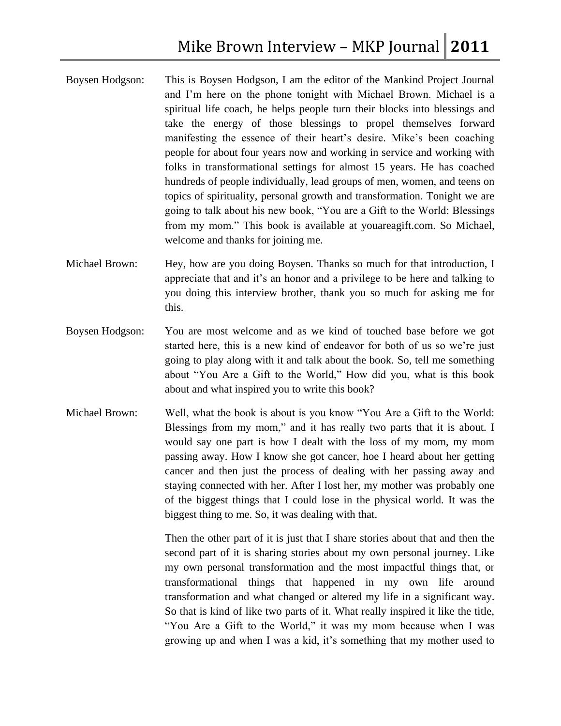- Boysen Hodgson: This is Boysen Hodgson, I am the editor of the Mankind Project Journal and I'm here on the phone tonight with Michael Brown. Michael is a spiritual life coach, he helps people turn their blocks into blessings and take the energy of those blessings to propel themselves forward manifesting the essence of their heart's desire. Mike's been coaching people for about four years now and working in service and working with folks in transformational settings for almost 15 years. He has coached hundreds of people individually, lead groups of men, women, and teens on topics of spirituality, personal growth and transformation. Tonight we are going to talk about his new book, "You are a Gift to the World: Blessings from my mom." This book is available at youareagift.com. So Michael, welcome and thanks for joining me.
- Michael Brown: Hey, how are you doing Boysen. Thanks so much for that introduction, I appreciate that and it's an honor and a privilege to be here and talking to you doing this interview brother, thank you so much for asking me for this.
- Boysen Hodgson: You are most welcome and as we kind of touched base before we got started here, this is a new kind of endeavor for both of us so we're just going to play along with it and talk about the book. So, tell me something about "You Are a Gift to the World," How did you, what is this book about and what inspired you to write this book?
- Michael Brown: Well, what the book is about is you know "You Are a Gift to the World: Blessings from my mom," and it has really two parts that it is about. I would say one part is how I dealt with the loss of my mom, my mom passing away. How I know she got cancer, hoe I heard about her getting cancer and then just the process of dealing with her passing away and staying connected with her. After I lost her, my mother was probably one of the biggest things that I could lose in the physical world. It was the biggest thing to me. So, it was dealing with that.

Then the other part of it is just that I share stories about that and then the second part of it is sharing stories about my own personal journey. Like my own personal transformation and the most impactful things that, or transformational things that happened in my own life around transformation and what changed or altered my life in a significant way. So that is kind of like two parts of it. What really inspired it like the title, "You Are a Gift to the World," it was my mom because when I was growing up and when I was a kid, it's something that my mother used to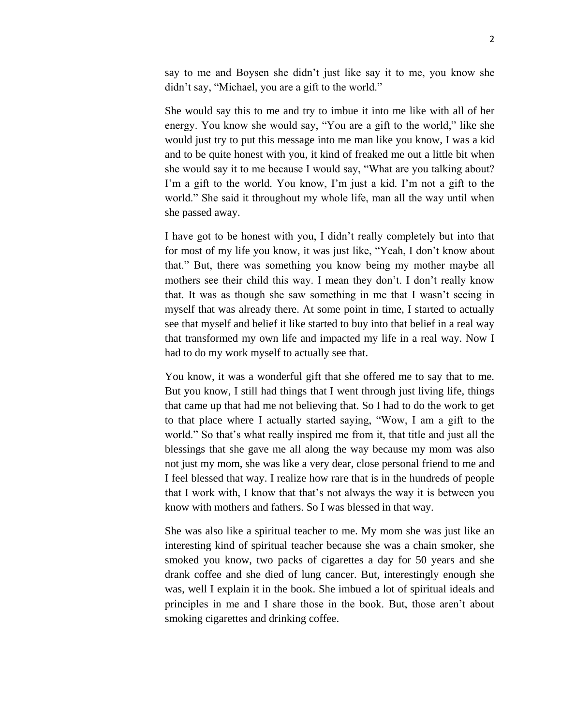say to me and Boysen she didn't just like say it to me, you know she didn't say, "Michael, you are a gift to the world."

She would say this to me and try to imbue it into me like with all of her energy. You know she would say, "You are a gift to the world," like she would just try to put this message into me man like you know, I was a kid and to be quite honest with you, it kind of freaked me out a little bit when she would say it to me because I would say, "What are you talking about? I'm a gift to the world. You know, I'm just a kid. I'm not a gift to the world." She said it throughout my whole life, man all the way until when she passed away.

I have got to be honest with you, I didn't really completely but into that for most of my life you know, it was just like, "Yeah, I don't know about that." But, there was something you know being my mother maybe all mothers see their child this way. I mean they don't. I don't really know that. It was as though she saw something in me that I wasn't seeing in myself that was already there. At some point in time, I started to actually see that myself and belief it like started to buy into that belief in a real way that transformed my own life and impacted my life in a real way. Now I had to do my work myself to actually see that.

You know, it was a wonderful gift that she offered me to say that to me. But you know, I still had things that I went through just living life, things that came up that had me not believing that. So I had to do the work to get to that place where I actually started saying, "Wow, I am a gift to the world." So that's what really inspired me from it, that title and just all the blessings that she gave me all along the way because my mom was also not just my mom, she was like a very dear, close personal friend to me and I feel blessed that way. I realize how rare that is in the hundreds of people that I work with, I know that that's not always the way it is between you know with mothers and fathers. So I was blessed in that way.

She was also like a spiritual teacher to me. My mom she was just like an interesting kind of spiritual teacher because she was a chain smoker, she smoked you know, two packs of cigarettes a day for 50 years and she drank coffee and she died of lung cancer. But, interestingly enough she was, well I explain it in the book. She imbued a lot of spiritual ideals and principles in me and I share those in the book. But, those aren't about smoking cigarettes and drinking coffee.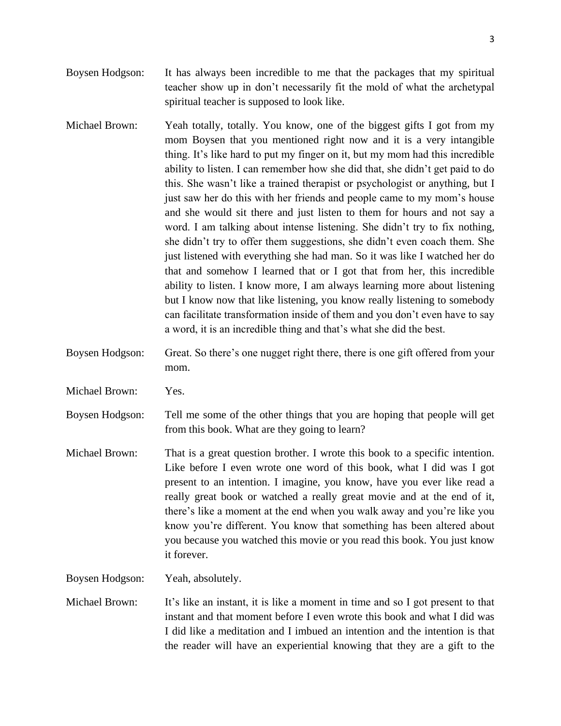- Boysen Hodgson: It has always been incredible to me that the packages that my spiritual teacher show up in don't necessarily fit the mold of what the archetypal spiritual teacher is supposed to look like.
- Michael Brown: Yeah totally, totally. You know, one of the biggest gifts I got from my mom Boysen that you mentioned right now and it is a very intangible thing. It's like hard to put my finger on it, but my mom had this incredible ability to listen. I can remember how she did that, she didn't get paid to do this. She wasn't like a trained therapist or psychologist or anything, but I just saw her do this with her friends and people came to my mom's house and she would sit there and just listen to them for hours and not say a word. I am talking about intense listening. She didn't try to fix nothing, she didn't try to offer them suggestions, she didn't even coach them. She just listened with everything she had man. So it was like I watched her do that and somehow I learned that or I got that from her, this incredible ability to listen. I know more, I am always learning more about listening but I know now that like listening, you know really listening to somebody can facilitate transformation inside of them and you don't even have to say a word, it is an incredible thing and that's what she did the best.
- Boysen Hodgson: Great. So there's one nugget right there, there is one gift offered from your mom.
- Michael Brown: Yes.

Boysen Hodgson: Tell me some of the other things that you are hoping that people will get from this book. What are they going to learn?

Michael Brown: That is a great question brother. I wrote this book to a specific intention. Like before I even wrote one word of this book, what I did was I got present to an intention. I imagine, you know, have you ever like read a really great book or watched a really great movie and at the end of it, there's like a moment at the end when you walk away and you're like you know you're different. You know that something has been altered about you because you watched this movie or you read this book. You just know it forever.

Boysen Hodgson: Yeah, absolutely.

Michael Brown: It's like an instant, it is like a moment in time and so I got present to that instant and that moment before I even wrote this book and what I did was I did like a meditation and I imbued an intention and the intention is that the reader will have an experiential knowing that they are a gift to the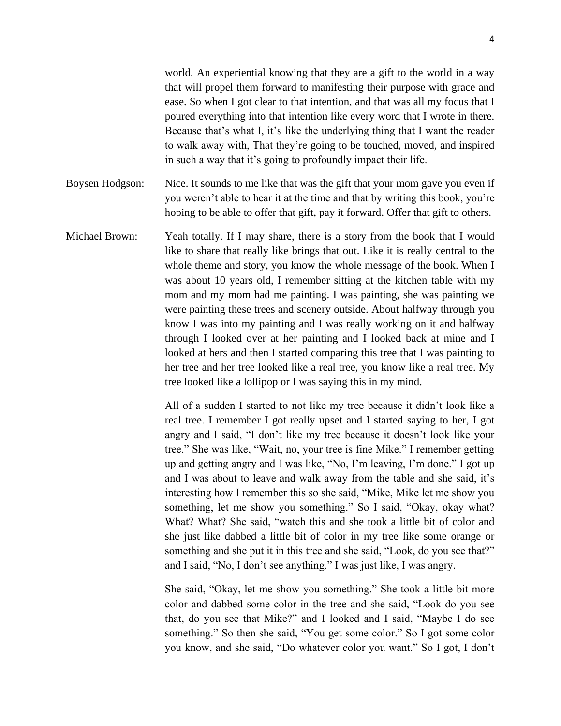world. An experiential knowing that they are a gift to the world in a way that will propel them forward to manifesting their purpose with grace and ease. So when I got clear to that intention, and that was all my focus that I poured everything into that intention like every word that I wrote in there. Because that's what I, it's like the underlying thing that I want the reader to walk away with, That they're going to be touched, moved, and inspired in such a way that it's going to profoundly impact their life.

- Boysen Hodgson: Nice. It sounds to me like that was the gift that your mom gave you even if you weren't able to hear it at the time and that by writing this book, you're hoping to be able to offer that gift, pay it forward. Offer that gift to others.
- Michael Brown: Yeah totally. If I may share, there is a story from the book that I would like to share that really like brings that out. Like it is really central to the whole theme and story, you know the whole message of the book. When I was about 10 years old, I remember sitting at the kitchen table with my mom and my mom had me painting. I was painting, she was painting we were painting these trees and scenery outside. About halfway through you know I was into my painting and I was really working on it and halfway through I looked over at her painting and I looked back at mine and I looked at hers and then I started comparing this tree that I was painting to her tree and her tree looked like a real tree, you know like a real tree. My tree looked like a lollipop or I was saying this in my mind.

All of a sudden I started to not like my tree because it didn't look like a real tree. I remember I got really upset and I started saying to her, I got angry and I said, "I don't like my tree because it doesn't look like your tree." She was like, "Wait, no, your tree is fine Mike." I remember getting up and getting angry and I was like, "No, I'm leaving, I'm done." I got up and I was about to leave and walk away from the table and she said, it's interesting how I remember this so she said, "Mike, Mike let me show you something, let me show you something." So I said, "Okay, okay what? What? What? She said, "watch this and she took a little bit of color and she just like dabbed a little bit of color in my tree like some orange or something and she put it in this tree and she said, "Look, do you see that?" and I said, "No, I don't see anything." I was just like, I was angry.

She said, "Okay, let me show you something." She took a little bit more color and dabbed some color in the tree and she said, "Look do you see that, do you see that Mike?" and I looked and I said, "Maybe I do see something." So then she said, "You get some color." So I got some color you know, and she said, "Do whatever color you want." So I got, I don't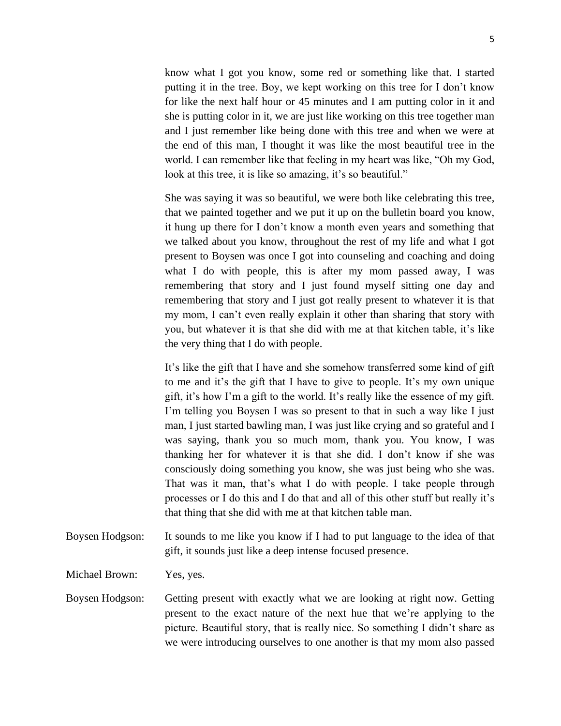know what I got you know, some red or something like that. I started putting it in the tree. Boy, we kept working on this tree for I don't know for like the next half hour or 45 minutes and I am putting color in it and she is putting color in it, we are just like working on this tree together man and I just remember like being done with this tree and when we were at the end of this man, I thought it was like the most beautiful tree in the world. I can remember like that feeling in my heart was like, "Oh my God, look at this tree, it is like so amazing, it's so beautiful."

She was saying it was so beautiful, we were both like celebrating this tree, that we painted together and we put it up on the bulletin board you know, it hung up there for I don't know a month even years and something that we talked about you know, throughout the rest of my life and what I got present to Boysen was once I got into counseling and coaching and doing what I do with people, this is after my mom passed away, I was remembering that story and I just found myself sitting one day and remembering that story and I just got really present to whatever it is that my mom, I can't even really explain it other than sharing that story with you, but whatever it is that she did with me at that kitchen table, it's like the very thing that I do with people.

It's like the gift that I have and she somehow transferred some kind of gift to me and it's the gift that I have to give to people. It's my own unique gift, it's how I'm a gift to the world. It's really like the essence of my gift. I'm telling you Boysen I was so present to that in such a way like I just man, I just started bawling man, I was just like crying and so grateful and I was saying, thank you so much mom, thank you. You know, I was thanking her for whatever it is that she did. I don't know if she was consciously doing something you know, she was just being who she was. That was it man, that's what I do with people. I take people through processes or I do this and I do that and all of this other stuff but really it's that thing that she did with me at that kitchen table man.

Boysen Hodgson: It sounds to me like you know if I had to put language to the idea of that gift, it sounds just like a deep intense focused presence.

Michael Brown: Yes, yes.

Boysen Hodgson: Getting present with exactly what we are looking at right now. Getting present to the exact nature of the next hue that we're applying to the picture. Beautiful story, that is really nice. So something I didn't share as we were introducing ourselves to one another is that my mom also passed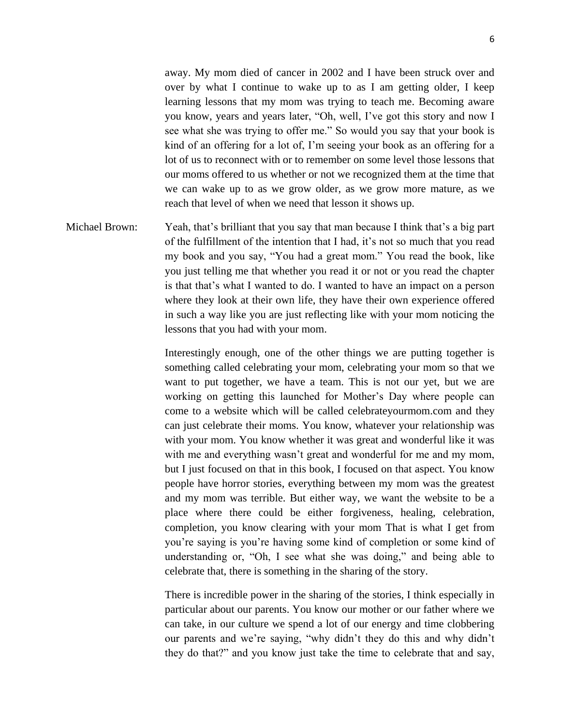away. My mom died of cancer in 2002 and I have been struck over and over by what I continue to wake up to as I am getting older, I keep learning lessons that my mom was trying to teach me. Becoming aware you know, years and years later, "Oh, well, I've got this story and now I see what she was trying to offer me." So would you say that your book is kind of an offering for a lot of, I'm seeing your book as an offering for a lot of us to reconnect with or to remember on some level those lessons that our moms offered to us whether or not we recognized them at the time that we can wake up to as we grow older, as we grow more mature, as we reach that level of when we need that lesson it shows up.

Michael Brown: Yeah, that's brilliant that you say that man because I think that's a big part of the fulfillment of the intention that I had, it's not so much that you read my book and you say, "You had a great mom." You read the book, like you just telling me that whether you read it or not or you read the chapter is that that's what I wanted to do. I wanted to have an impact on a person where they look at their own life, they have their own experience offered in such a way like you are just reflecting like with your mom noticing the lessons that you had with your mom.

> Interestingly enough, one of the other things we are putting together is something called celebrating your mom, celebrating your mom so that we want to put together, we have a team. This is not our yet, but we are working on getting this launched for Mother's Day where people can come to a website which will be called celebrateyourmom.com and they can just celebrate their moms. You know, whatever your relationship was with your mom. You know whether it was great and wonderful like it was with me and everything wasn't great and wonderful for me and my mom, but I just focused on that in this book, I focused on that aspect. You know people have horror stories, everything between my mom was the greatest and my mom was terrible. But either way, we want the website to be a place where there could be either forgiveness, healing, celebration, completion, you know clearing with your mom That is what I get from you're saying is you're having some kind of completion or some kind of understanding or, "Oh, I see what she was doing," and being able to celebrate that, there is something in the sharing of the story.

> There is incredible power in the sharing of the stories, I think especially in particular about our parents. You know our mother or our father where we can take, in our culture we spend a lot of our energy and time clobbering our parents and we're saying, "why didn't they do this and why didn't they do that?" and you know just take the time to celebrate that and say,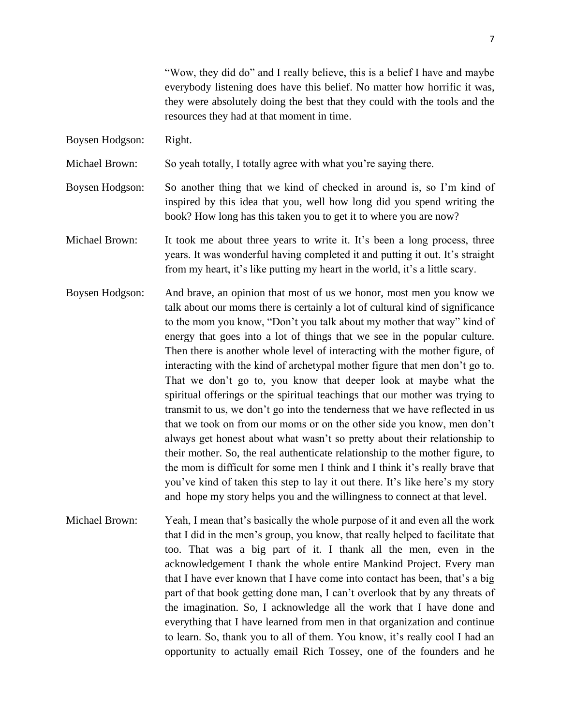"Wow, they did do" and I really believe, this is a belief I have and maybe everybody listening does have this belief. No matter how horrific it was, they were absolutely doing the best that they could with the tools and the resources they had at that moment in time.

Boysen Hodgson: Right.

Michael Brown: So yeah totally, I totally agree with what you're saying there.

Boysen Hodgson: So another thing that we kind of checked in around is, so I'm kind of inspired by this idea that you, well how long did you spend writing the book? How long has this taken you to get it to where you are now?

- Michael Brown: It took me about three years to write it. It's been a long process, three years. It was wonderful having completed it and putting it out. It's straight from my heart, it's like putting my heart in the world, it's a little scary.
- Boysen Hodgson: And brave, an opinion that most of us we honor, most men you know we talk about our moms there is certainly a lot of cultural kind of significance to the mom you know, "Don't you talk about my mother that way" kind of energy that goes into a lot of things that we see in the popular culture. Then there is another whole level of interacting with the mother figure, of interacting with the kind of archetypal mother figure that men don't go to. That we don't go to, you know that deeper look at maybe what the spiritual offerings or the spiritual teachings that our mother was trying to transmit to us, we don't go into the tenderness that we have reflected in us that we took on from our moms or on the other side you know, men don't always get honest about what wasn't so pretty about their relationship to their mother. So, the real authenticate relationship to the mother figure, to the mom is difficult for some men I think and I think it's really brave that you've kind of taken this step to lay it out there. It's like here's my story and hope my story helps you and the willingness to connect at that level.
- Michael Brown: Yeah, I mean that's basically the whole purpose of it and even all the work that I did in the men's group, you know, that really helped to facilitate that too. That was a big part of it. I thank all the men, even in the acknowledgement I thank the whole entire Mankind Project. Every man that I have ever known that I have come into contact has been, that's a big part of that book getting done man, I can't overlook that by any threats of the imagination. So, I acknowledge all the work that I have done and everything that I have learned from men in that organization and continue to learn. So, thank you to all of them. You know, it's really cool I had an opportunity to actually email Rich Tossey, one of the founders and he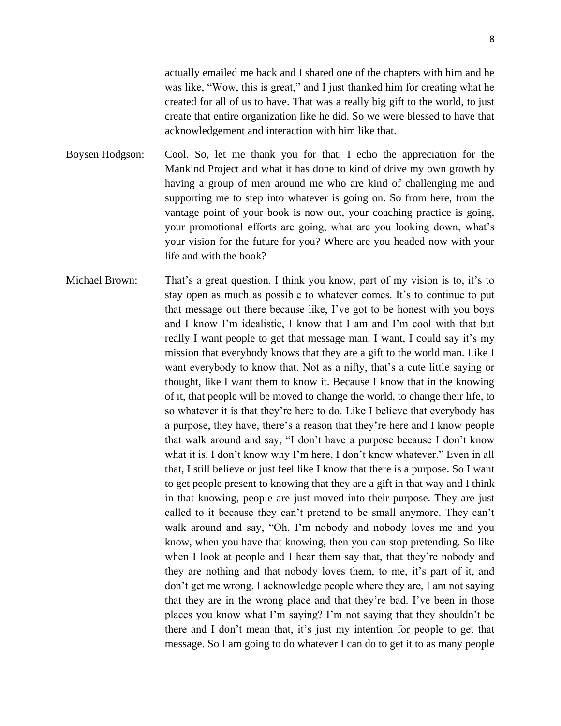actually emailed me back and I shared one of the chapters with him and he was like, "Wow, this is great," and I just thanked him for creating what he created for all of us to have. That was a really big gift to the world, to just create that entire organization like he did. So we were blessed to have that acknowledgement and interaction with him like that.

Boysen Hodgson: Cool. So, let me thank you for that. I echo the appreciation for the Mankind Project and what it has done to kind of drive my own growth by having a group of men around me who are kind of challenging me and supporting me to step into whatever is going on. So from here, from the vantage point of your book is now out, your coaching practice is going, your promotional efforts are going, what are you looking down, what's your vision for the future for you? Where are you headed now with your life and with the book?

Michael Brown: That's a great question. I think you know, part of my vision is to, it's to stay open as much as possible to whatever comes. It's to continue to put that message out there because like, I've got to be honest with you boys and I know I'm idealistic, I know that I am and I'm cool with that but really I want people to get that message man. I want, I could say it's my mission that everybody knows that they are a gift to the world man. Like I want everybody to know that. Not as a nifty, that's a cute little saying or thought, like I want them to know it. Because I know that in the knowing of it, that people will be moved to change the world, to change their life, to so whatever it is that they're here to do. Like I believe that everybody has a purpose, they have, there's a reason that they're here and I know people that walk around and say, "I don't have a purpose because I don't know what it is. I don't know why I'm here, I don't know whatever." Even in all that, I still believe or just feel like I know that there is a purpose. So I want to get people present to knowing that they are a gift in that way and I think in that knowing, people are just moved into their purpose. They are just called to it because they can't pretend to be small anymore. They can't walk around and say, "Oh, I'm nobody and nobody loves me and you know, when you have that knowing, then you can stop pretending. So like when I look at people and I hear them say that, that they're nobody and they are nothing and that nobody loves them, to me, it's part of it, and don't get me wrong, I acknowledge people where they are, I am not saying that they are in the wrong place and that they're bad. I've been in those places you know what I'm saying? I'm not saying that they shouldn't be there and I don't mean that, it's just my intention for people to get that message. So I am going to do whatever I can do to get it to as many people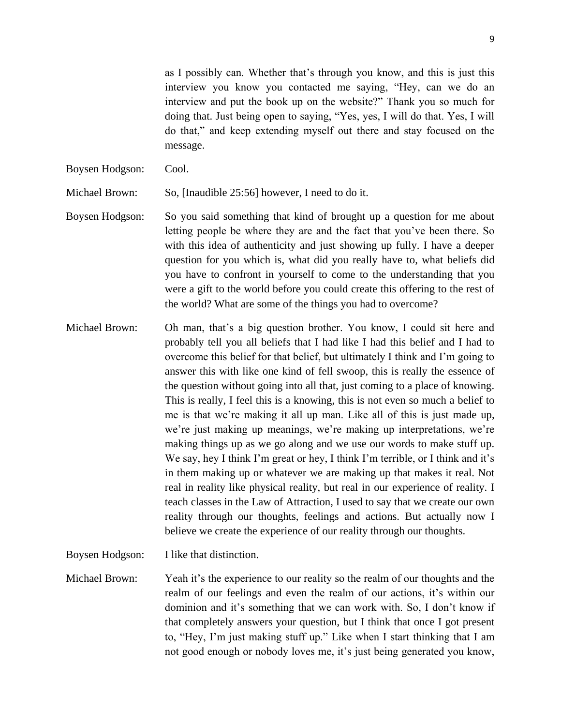as I possibly can. Whether that's through you know, and this is just this interview you know you contacted me saying, "Hey, can we do an interview and put the book up on the website?" Thank you so much for doing that. Just being open to saying, "Yes, yes, I will do that. Yes, I will do that," and keep extending myself out there and stay focused on the message.

Boysen Hodgson: Cool.

Michael Brown: So, [Inaudible 25:56] however, I need to do it.

- Boysen Hodgson: So you said something that kind of brought up a question for me about letting people be where they are and the fact that you've been there. So with this idea of authenticity and just showing up fully. I have a deeper question for you which is, what did you really have to, what beliefs did you have to confront in yourself to come to the understanding that you were a gift to the world before you could create this offering to the rest of the world? What are some of the things you had to overcome?
- Michael Brown: Oh man, that's a big question brother. You know, I could sit here and probably tell you all beliefs that I had like I had this belief and I had to overcome this belief for that belief, but ultimately I think and I'm going to answer this with like one kind of fell swoop, this is really the essence of the question without going into all that, just coming to a place of knowing. This is really, I feel this is a knowing, this is not even so much a belief to me is that we're making it all up man. Like all of this is just made up, we're just making up meanings, we're making up interpretations, we're making things up as we go along and we use our words to make stuff up. We say, hey I think I'm great or hey, I think I'm terrible, or I think and it's in them making up or whatever we are making up that makes it real. Not real in reality like physical reality, but real in our experience of reality. I teach classes in the Law of Attraction, I used to say that we create our own reality through our thoughts, feelings and actions. But actually now I believe we create the experience of our reality through our thoughts.

Boysen Hodgson: I like that distinction.

Michael Brown: Yeah it's the experience to our reality so the realm of our thoughts and the realm of our feelings and even the realm of our actions, it's within our dominion and it's something that we can work with. So, I don't know if that completely answers your question, but I think that once I got present to, "Hey, I'm just making stuff up." Like when I start thinking that I am not good enough or nobody loves me, it's just being generated you know,